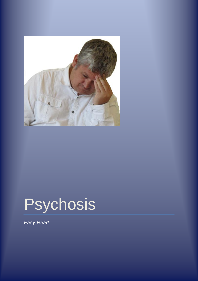

## Psychosis

*Easy Read*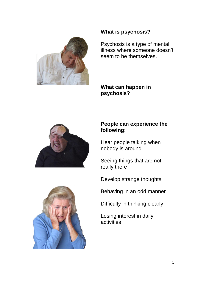

## **What is psychosis?**

Psychosis is a type of mental illness where someone doesn't seem to be themselves.

**What can happen in psychosis?**

## **People can experience the following:**

Hear people talking when nobody is around

Seeing things that are not really there

Develop strange thoughts

Behaving in an odd manner

Difficulty in thinking clearly

Losing interest in daily activities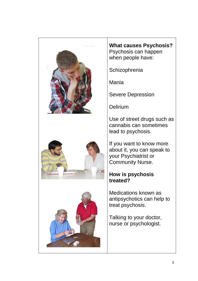

**What causes Psychosis?** Psychosis can happen when people have:

**Schizophrenia** 

Mania

Severe Depression

Delirium

Use of street drugs such as cannabis can sometimes lead to psychosis.

If you want to know more about it, you can speak to your Psychiatrist or Community Nurse.

## **How is psychosis treated?**

Medications known as antipsychotics can help to treat psychosis.

Talking to your doctor, nurse or psychologist.



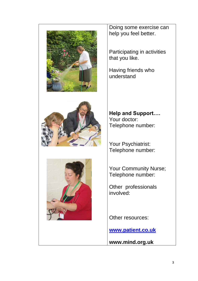



Doing some exercise can help you feel better.

Participating in activities that you like.

Having friends who understand

**Help and Support….** Your doctor: Telephone number:

Your Psychiatrist: Telephone number:

Your Community Nurse; Telephone number:

Other professionals involved:

Other resources:

**[www.patient.co.uk](http://www.patient.co.uk/)**

**www.mind.org.uk**